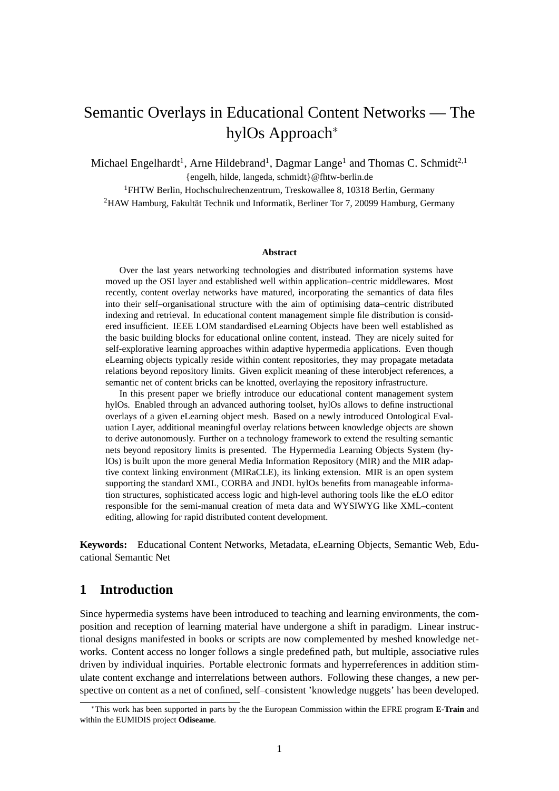# Semantic Overlays in Educational Content Networks — The hylOs Approach<sup>∗</sup>

Michael Engelhardt<sup>1</sup>, Arne Hildebrand<sup>1</sup>, Dagmar Lange<sup>1</sup> and Thomas C. Schmidt<sup>2,1</sup> {engelh, hilde, langeda, schmidt}@fhtw-berlin.de <sup>1</sup>FHTW Berlin, Hochschulrechenzentrum, Treskowallee 8, 10318 Berlin, Germany

<sup>2</sup>HAW Hamburg, Fakultät Technik und Informatik, Berliner Tor 7, 20099 Hamburg, Germany

#### **Abstract**

Over the last years networking technologies and distributed information systems have moved up the OSI layer and established well within application–centric middlewares. Most recently, content overlay networks have matured, incorporating the semantics of data files into their self–organisational structure with the aim of optimising data–centric distributed indexing and retrieval. In educational content management simple file distribution is considered insufficient. IEEE LOM standardised eLearning Objects have been well established as the basic building blocks for educational online content, instead. They are nicely suited for self-explorative learning approaches within adaptive hypermedia applications. Even though eLearning objects typically reside within content repositories, they may propagate metadata relations beyond repository limits. Given explicit meaning of these interobject references, a semantic net of content bricks can be knotted, overlaying the repository infrastructure.

In this present paper we briefly introduce our educational content management system hylOs. Enabled through an advanced authoring toolset, hylOs allows to define instructional overlays of a given eLearning object mesh. Based on a newly introduced Ontological Evaluation Layer, additional meaningful overlay relations between knowledge objects are shown to derive autonomously. Further on a technology framework to extend the resulting semantic nets beyond repository limits is presented. The Hypermedia Learning Objects System (hylOs) is built upon the more general Media Information Repository (MIR) and the MIR adaptive context linking environment (MIRaCLE), its linking extension. MIR is an open system supporting the standard XML, CORBA and JNDI. hylOs benefits from manageable information structures, sophisticated access logic and high-level authoring tools like the eLO editor responsible for the semi-manual creation of meta data and WYSIWYG like XML–content editing, allowing for rapid distributed content development.

**Keywords:** Educational Content Networks, Metadata, eLearning Objects, Semantic Web, Educational Semantic Net

# **1 Introduction**

Since hypermedia systems have been introduced to teaching and learning environments, the composition and reception of learning material have undergone a shift in paradigm. Linear instructional designs manifested in books or scripts are now complemented by meshed knowledge networks. Content access no longer follows a single predefined path, but multiple, associative rules driven by individual inquiries. Portable electronic formats and hyperreferences in addition stimulate content exchange and interrelations between authors. Following these changes, a new perspective on content as a net of confined, self–consistent 'knowledge nuggets' has been developed.

<sup>∗</sup>This work has been supported in parts by the the European Commission within the EFRE program **E-Train** and within the EUMIDIS project **Odiseame**.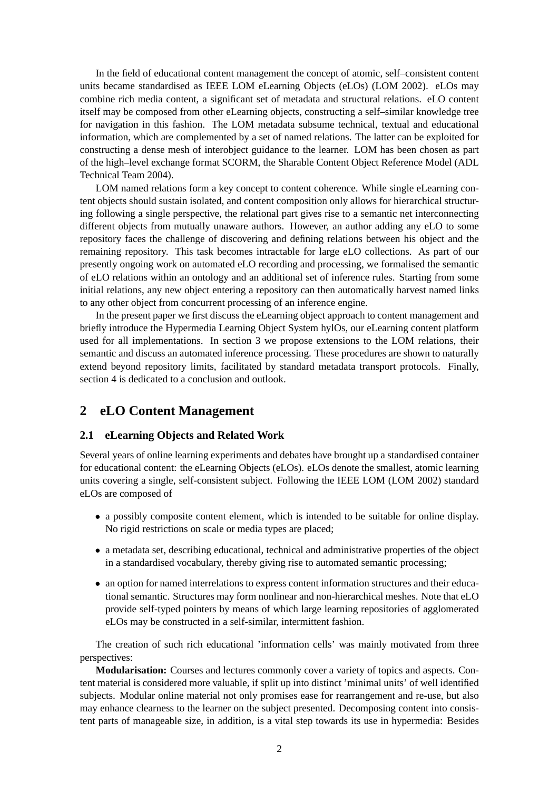In the field of educational content management the concept of atomic, self–consistent content units became standardised as IEEE LOM eLearning Objects (eLOs) (LOM 2002). eLOs may combine rich media content, a significant set of metadata and structural relations. eLO content itself may be composed from other eLearning objects, constructing a self–similar knowledge tree for navigation in this fashion. The LOM metadata subsume technical, textual and educational information, which are complemented by a set of named relations. The latter can be exploited for constructing a dense mesh of interobject guidance to the learner. LOM has been chosen as part of the high–level exchange format SCORM, the Sharable Content Object Reference Model (ADL Technical Team 2004).

LOM named relations form a key concept to content coherence. While single eLearning content objects should sustain isolated, and content composition only allows for hierarchical structuring following a single perspective, the relational part gives rise to a semantic net interconnecting different objects from mutually unaware authors. However, an author adding any eLO to some repository faces the challenge of discovering and defining relations between his object and the remaining repository. This task becomes intractable for large eLO collections. As part of our presently ongoing work on automated eLO recording and processing, we formalised the semantic of eLO relations within an ontology and an additional set of inference rules. Starting from some initial relations, any new object entering a repository can then automatically harvest named links to any other object from concurrent processing of an inference engine.

In the present paper we first discuss the eLearning object approach to content management and briefly introduce the Hypermedia Learning Object System hylOs, our eLearning content platform used for all implementations. In section 3 we propose extensions to the LOM relations, their semantic and discuss an automated inference processing. These procedures are shown to naturally extend beyond repository limits, facilitated by standard metadata transport protocols. Finally, section 4 is dedicated to a conclusion and outlook.

# **2 eLO Content Management**

#### **2.1 eLearning Objects and Related Work**

Several years of online learning experiments and debates have brought up a standardised container for educational content: the eLearning Objects (eLOs). eLOs denote the smallest, atomic learning units covering a single, self-consistent subject. Following the IEEE LOM (LOM 2002) standard eLOs are composed of

- a possibly composite content element, which is intended to be suitable for online display. No rigid restrictions on scale or media types are placed;
- a metadata set, describing educational, technical and administrative properties of the object in a standardised vocabulary, thereby giving rise to automated semantic processing;
- an option for named interrelations to express content information structures and their educational semantic. Structures may form nonlinear and non-hierarchical meshes. Note that eLO provide self-typed pointers by means of which large learning repositories of agglomerated eLOs may be constructed in a self-similar, intermittent fashion.

The creation of such rich educational 'information cells' was mainly motivated from three perspectives:

**Modularisation:** Courses and lectures commonly cover a variety of topics and aspects. Content material is considered more valuable, if split up into distinct 'minimal units' of well identified subjects. Modular online material not only promises ease for rearrangement and re-use, but also may enhance clearness to the learner on the subject presented. Decomposing content into consistent parts of manageable size, in addition, is a vital step towards its use in hypermedia: Besides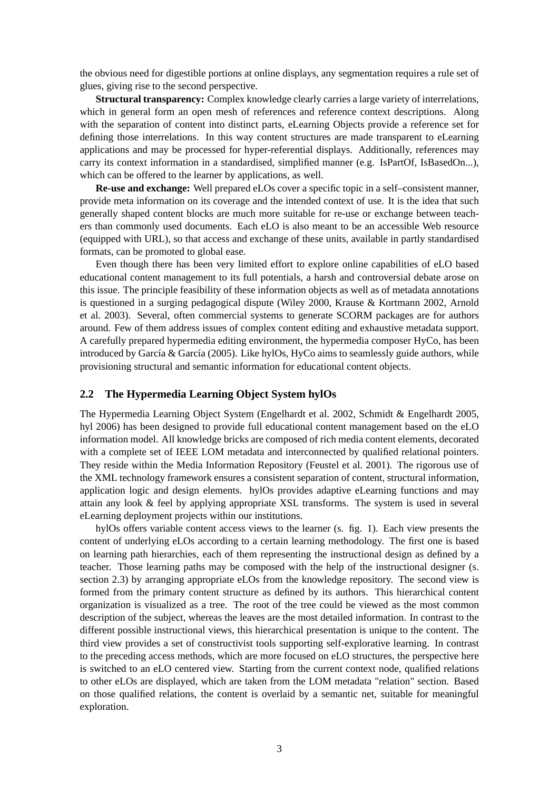the obvious need for digestible portions at online displays, any segmentation requires a rule set of glues, giving rise to the second perspective.

**Structural transparency:** Complex knowledge clearly carries a large variety of interrelations, which in general form an open mesh of references and reference context descriptions. Along with the separation of content into distinct parts, eLearning Objects provide a reference set for defining those interrelations. In this way content structures are made transparent to eLearning applications and may be processed for hyper-referential displays. Additionally, references may carry its context information in a standardised, simplified manner (e.g. IsPartOf, IsBasedOn...), which can be offered to the learner by applications, as well.

**Re-use and exchange:** Well prepared eLOs cover a specific topic in a self–consistent manner, provide meta information on its coverage and the intended context of use. It is the idea that such generally shaped content blocks are much more suitable for re-use or exchange between teachers than commonly used documents. Each eLO is also meant to be an accessible Web resource (equipped with URL), so that access and exchange of these units, available in partly standardised formats, can be promoted to global ease.

Even though there has been very limited effort to explore online capabilities of eLO based educational content management to its full potentials, a harsh and controversial debate arose on this issue. The principle feasibility of these information objects as well as of metadata annotations is questioned in a surging pedagogical dispute (Wiley 2000, Krause & Kortmann 2002, Arnold et al. 2003). Several, often commercial systems to generate SCORM packages are for authors around. Few of them address issues of complex content editing and exhaustive metadata support. A carefully prepared hypermedia editing environment, the hypermedia composer HyCo, has been introduced by García & García (2005). Like hylOs, HyCo aims to seamlessly guide authors, while provisioning structural and semantic information for educational content objects.

#### **2.2 The Hypermedia Learning Object System hylOs**

The Hypermedia Learning Object System (Engelhardt et al. 2002, Schmidt & Engelhardt 2005, hyl 2006) has been designed to provide full educational content management based on the eLO information model. All knowledge bricks are composed of rich media content elements, decorated with a complete set of IEEE LOM metadata and interconnected by qualified relational pointers. They reside within the Media Information Repository (Feustel et al. 2001). The rigorous use of the XML technology framework ensures a consistent separation of content, structural information, application logic and design elements. hylOs provides adaptive eLearning functions and may attain any look & feel by applying appropriate XSL transforms. The system is used in several eLearning deployment projects within our institutions.

hylOs offers variable content access views to the learner (s. fig. 1). Each view presents the content of underlying eLOs according to a certain learning methodology. The first one is based on learning path hierarchies, each of them representing the instructional design as defined by a teacher. Those learning paths may be composed with the help of the instructional designer (s. section 2.3) by arranging appropriate eLOs from the knowledge repository. The second view is formed from the primary content structure as defined by its authors. This hierarchical content organization is visualized as a tree. The root of the tree could be viewed as the most common description of the subject, whereas the leaves are the most detailed information. In contrast to the different possible instructional views, this hierarchical presentation is unique to the content. The third view provides a set of constructivist tools supporting self-explorative learning. In contrast to the preceding access methods, which are more focused on eLO structures, the perspective here is switched to an eLO centered view. Starting from the current context node, qualified relations to other eLOs are displayed, which are taken from the LOM metadata "relation" section. Based on those qualified relations, the content is overlaid by a semantic net, suitable for meaningful exploration.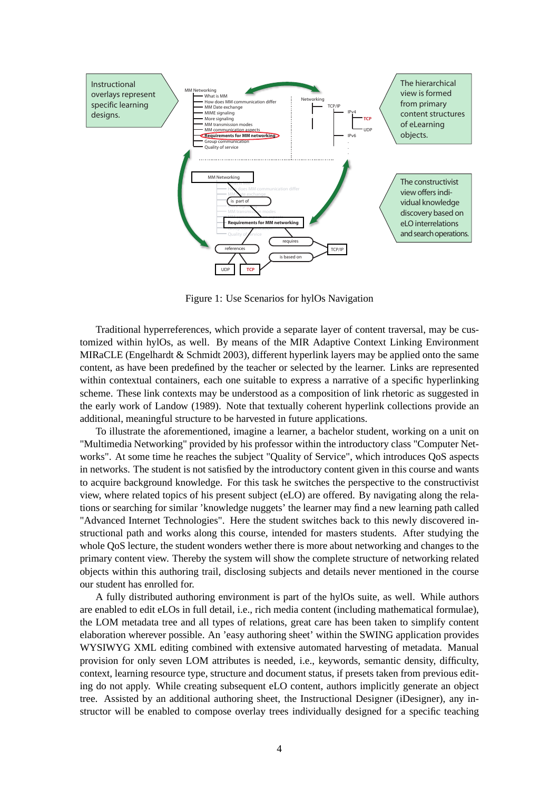

Figure 1: Use Scenarios for hylOs Navigation

Traditional hyperreferences, which provide a separate layer of content traversal, may be customized within hylOs, as well. By means of the MIR Adaptive Context Linking Environment MIRaCLE (Engelhardt & Schmidt 2003), different hyperlink layers may be applied onto the same content, as have been predefined by the teacher or selected by the learner. Links are represented within contextual containers, each one suitable to express a narrative of a specific hyperlinking scheme. These link contexts may be understood as a composition of link rhetoric as suggested in the early work of Landow (1989). Note that textually coherent hyperlink collections provide an additional, meaningful structure to be harvested in future applications.

To illustrate the aforementioned, imagine a learner, a bachelor student, working on a unit on "Multimedia Networking" provided by his professor within the introductory class "Computer Networks". At some time he reaches the subject "Quality of Service", which introduces QoS aspects in networks. The student is not satisfied by the introductory content given in this course and wants to acquire background knowledge. For this task he switches the perspective to the constructivist view, where related topics of his present subject (eLO) are offered. By navigating along the relations or searching for similar 'knowledge nuggets' the learner may find a new learning path called "Advanced Internet Technologies". Here the student switches back to this newly discovered instructional path and works along this course, intended for masters students. After studying the whole QoS lecture, the student wonders wether there is more about networking and changes to the primary content view. Thereby the system will show the complete structure of networking related objects within this authoring trail, disclosing subjects and details never mentioned in the course our student has enrolled for.

A fully distributed authoring environment is part of the hylOs suite, as well. While authors are enabled to edit eLOs in full detail, i.e., rich media content (including mathematical formulae), the LOM metadata tree and all types of relations, great care has been taken to simplify content elaboration wherever possible. An 'easy authoring sheet' within the SWING application provides WYSIWYG XML editing combined with extensive automated harvesting of metadata. Manual provision for only seven LOM attributes is needed, i.e., keywords, semantic density, difficulty, context, learning resource type, structure and document status, if presets taken from previous editing do not apply. While creating subsequent eLO content, authors implicitly generate an object tree. Assisted by an additional authoring sheet, the Instructional Designer (iDesigner), any instructor will be enabled to compose overlay trees individually designed for a specific teaching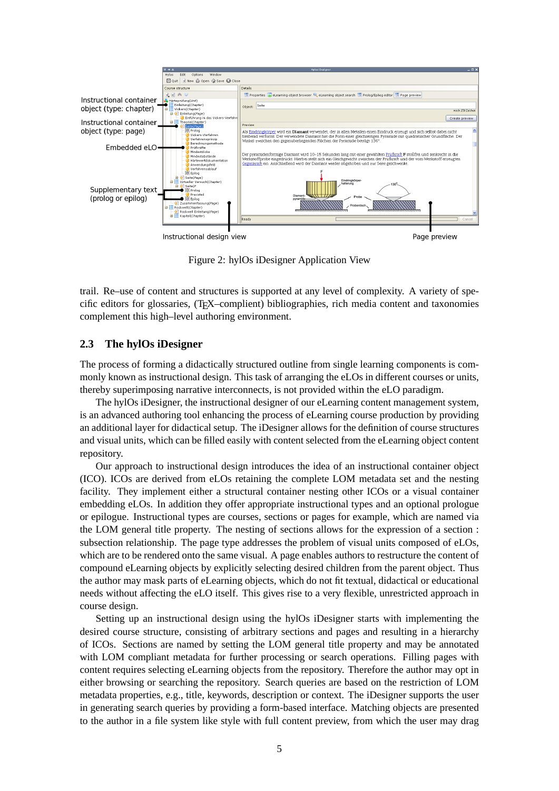

Figure 2: hylOs iDesigner Application View

trail. Re–use of content and structures is supported at any level of complexity. A variety of specific editors for glossaries, (TEX–complient) bibliographies, rich media content and taxonomies complement this high–level authoring environment.

### **2.3 The hylOs iDesigner**

The process of forming a didactically structured outline from single learning components is commonly known as instructional design. This task of arranging the eLOs in different courses or units, thereby superimposing narrative interconnects, is not provided within the eLO paradigm.

The hylOs iDesigner, the instructional designer of our eLearning content management system, is an advanced authoring tool enhancing the process of eLearning course production by providing an additional layer for didactical setup. The iDesigner allows for the definition of course structures and visual units, which can be filled easily with content selected from the eLearning object content repository.

Our approach to instructional design introduces the idea of an instructional container object (ICO). ICOs are derived from eLOs retaining the complete LOM metadata set and the nesting facility. They implement either a structural container nesting other ICOs or a visual container embedding eLOs. In addition they offer appropriate instructional types and an optional prologue or epilogue. Instructional types are courses, sections or pages for example, which are named via the LOM general title property. The nesting of sections allows for the expression of a section : subsection relationship. The page type addresses the problem of visual units composed of eLOs, which are to be rendered onto the same visual. A page enables authors to restructure the content of compound eLearning objects by explicitly selecting desired children from the parent object. Thus the author may mask parts of eLearning objects, which do not fit textual, didactical or educational needs without affecting the eLO itself. This gives rise to a very flexible, unrestricted approach in course design.

Setting up an instructional design using the hylOs iDesigner starts with implementing the desired course structure, consisting of arbitrary sections and pages and resulting in a hierarchy of ICOs. Sections are named by setting the LOM general title property and may be annotated with LOM compliant metadata for further processing or search operations. Filling pages with content requires selecting eLearning objects from the repository. Therefore the author may opt in either browsing or searching the repository. Search queries are based on the restriction of LOM metadata properties, e.g., title, keywords, description or context. The iDesigner supports the user in generating search queries by providing a form-based interface. Matching objects are presented to the author in a file system like style with full content preview, from which the user may drag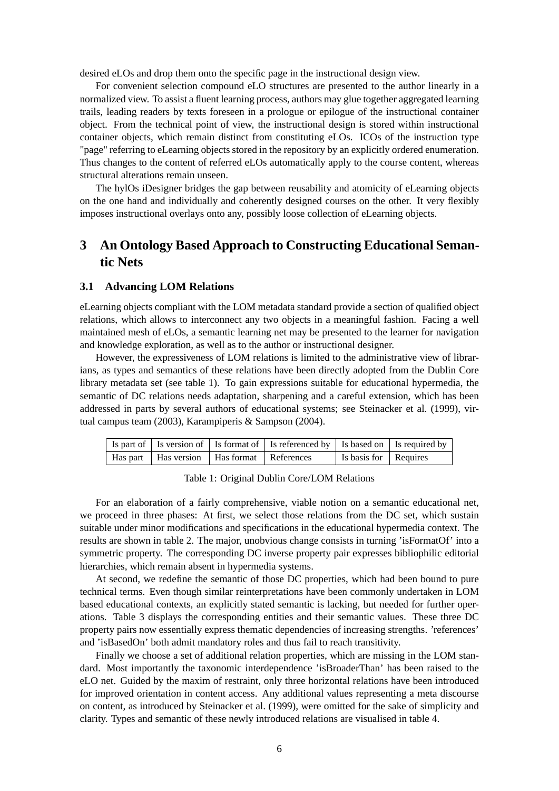desired eLOs and drop them onto the specific page in the instructional design view.

For convenient selection compound eLO structures are presented to the author linearly in a normalized view. To assist a fluent learning process, authors may glue together aggregated learning trails, leading readers by texts foreseen in a prologue or epilogue of the instructional container object. From the technical point of view, the instructional design is stored within instructional container objects, which remain distinct from constituting eLOs. ICOs of the instruction type "page" referring to eLearning objects stored in the repository by an explicitly ordered enumeration. Thus changes to the content of referred eLOs automatically apply to the course content, whereas structural alterations remain unseen.

The hylOs iDesigner bridges the gap between reusability and atomicity of eLearning objects on the one hand and individually and coherently designed courses on the other. It very flexibly imposes instructional overlays onto any, possibly loose collection of eLearning objects.

# **3 An Ontology Based Approach to Constructing Educational Semantic Nets**

#### **3.1 Advancing LOM Relations**

eLearning objects compliant with the LOM metadata standard provide a section of qualified object relations, which allows to interconnect any two objects in a meaningful fashion. Facing a well maintained mesh of eLOs, a semantic learning net may be presented to the learner for navigation and knowledge exploration, as well as to the author or instructional designer.

However, the expressiveness of LOM relations is limited to the administrative view of librarians, as types and semantics of these relations have been directly adopted from the Dublin Core library metadata set (see table 1). To gain expressions suitable for educational hypermedia, the semantic of DC relations needs adaptation, sharpening and a careful extension, which has been addressed in parts by several authors of educational systems; see Steinacker et al. (1999), virtual campus team (2003), Karampiperis & Sampson (2004).

|                                                  | Is part of   Is version of   Is format of   Is referenced by   Is based on   Is required by |                         |  |
|--------------------------------------------------|---------------------------------------------------------------------------------------------|-------------------------|--|
| Has part   Has version   Has format   References |                                                                                             | Is basis for   Requires |  |

Table 1: Original Dublin Core/LOM Relations

For an elaboration of a fairly comprehensive, viable notion on a semantic educational net, we proceed in three phases: At first, we select those relations from the DC set, which sustain suitable under minor modifications and specifications in the educational hypermedia context. The results are shown in table 2. The major, unobvious change consists in turning 'isFormatOf' into a symmetric property. The corresponding DC inverse property pair expresses bibliophilic editorial hierarchies, which remain absent in hypermedia systems.

At second, we redefine the semantic of those DC properties, which had been bound to pure technical terms. Even though similar reinterpretations have been commonly undertaken in LOM based educational contexts, an explicitly stated semantic is lacking, but needed for further operations. Table 3 displays the corresponding entities and their semantic values. These three DC property pairs now essentially express thematic dependencies of increasing strengths. 'references' and 'isBasedOn' both admit mandatory roles and thus fail to reach transitivity.

Finally we choose a set of additional relation properties, which are missing in the LOM standard. Most importantly the taxonomic interdependence 'isBroaderThan' has been raised to the eLO net. Guided by the maxim of restraint, only three horizontal relations have been introduced for improved orientation in content access. Any additional values representing a meta discourse on content, as introduced by Steinacker et al. (1999), were omitted for the sake of simplicity and clarity. Types and semantic of these newly introduced relations are visualised in table 4.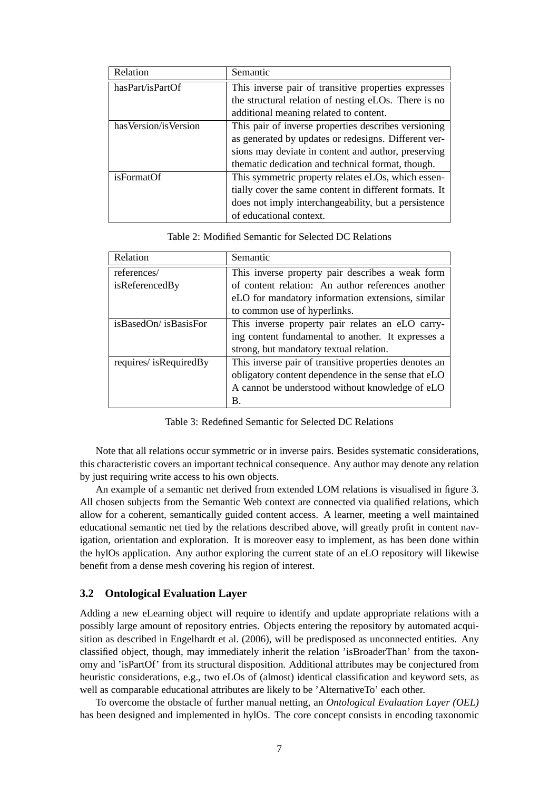| Relation               | Semantic                                               |  |
|------------------------|--------------------------------------------------------|--|
| hasPart/isPartOf       | This inverse pair of transitive properties expresses   |  |
|                        | the structural relation of nesting eLOs. There is no   |  |
|                        | additional meaning related to content.                 |  |
| has Version/is Version | This pair of inverse properties describes versioning   |  |
|                        | as generated by updates or redesigns. Different ver-   |  |
|                        | sions may deviate in content and author, preserving    |  |
|                        | thematic dedication and technical format, though.      |  |
| isFormatOf             | This symmetric property relates eLOs, which essen-     |  |
|                        | tially cover the same content in different formats. It |  |
|                        | does not imply interchangeability, but a persistence   |  |
|                        | of educational context.                                |  |

| Relation               | Semantic                                              |
|------------------------|-------------------------------------------------------|
| references/            | This inverse property pair describes a weak form      |
| isReferencedBy         | of content relation: An author references another     |
|                        | eLO for mandatory information extensions, similar     |
|                        | to common use of hyperlinks.                          |
| isBasedOn/isBasisFor   | This inverse property pair relates an eLO carry-      |
|                        | ing content fundamental to another. It expresses a    |
|                        | strong, but mandatory textual relation.               |
| requires/ isRequiredBy | This inverse pair of transitive properties denotes an |
|                        | obligatory content dependence in the sense that eLO   |
|                        | A cannot be understood without knowledge of eLO       |
|                        | Β.                                                    |

Table 3: Redefined Semantic for Selected DC Relations

Note that all relations occur symmetric or in inverse pairs. Besides systematic considerations, this characteristic covers an important technical consequence. Any author may denote any relation by just requiring write access to his own objects.

An example of a semantic net derived from extended LOM relations is visualised in figure 3. All chosen subjects from the Semantic Web context are connected via qualified relations, which allow for a coherent, semantically guided content access. A learner, meeting a well maintained educational semantic net tied by the relations described above, will greatly profit in content navigation, orientation and exploration. It is moreover easy to implement, as has been done within the hylOs application. Any author exploring the current state of an eLO repository will likewise benefit from a dense mesh covering his region of interest.

#### **3.2 Ontological Evaluation Layer**

Adding a new eLearning object will require to identify and update appropriate relations with a possibly large amount of repository entries. Objects entering the repository by automated acquisition as described in Engelhardt et al. (2006), will be predisposed as unconnected entities. Any classified object, though, may immediately inherit the relation 'isBroaderThan' from the taxonomy and 'isPartOf' from its structural disposition. Additional attributes may be conjectured from heuristic considerations, e.g., two eLOs of (almost) identical classification and keyword sets, as well as comparable educational attributes are likely to be 'AlternativeTo' each other.

To overcome the obstacle of further manual netting, an *Ontological Evaluation Layer (OEL)* has been designed and implemented in hylOs. The core concept consists in encoding taxonomic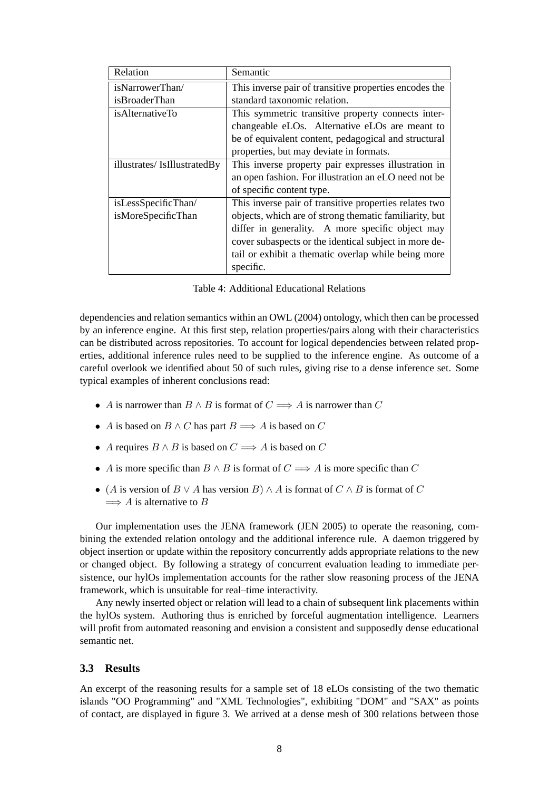| Relation                    | Semantic                                               |  |
|-----------------------------|--------------------------------------------------------|--|
| isNarrowerThan/             | This inverse pair of transitive properties encodes the |  |
| isBroaderThan               | standard taxonomic relation.                           |  |
| <i>isAlternativeTo</i>      | This symmetric transitive property connects inter-     |  |
|                             | changeable eLOs. Alternative eLOs are meant to         |  |
|                             | be of equivalent content, pedagogical and structural   |  |
|                             | properties, but may deviate in formats.                |  |
| illustrates/IsIllustratedBy | This inverse property pair expresses illustration in   |  |
|                             | an open fashion. For illustration an eLO need not be   |  |
|                             | of specific content type.                              |  |
| isLessSpecificThan/         | This inverse pair of transitive properties relates two |  |
| isMoreSpecificThan          | objects, which are of strong thematic familiarity, but |  |
|                             | differ in generality. A more specific object may       |  |
|                             | cover subaspects or the identical subject in more de-  |  |
|                             | tail or exhibit a thematic overlap while being more    |  |
|                             | specific.                                              |  |

| Table 4: Additional Educational Relations |
|-------------------------------------------|
|                                           |

dependencies and relation semantics within an OWL (2004) ontology, which then can be processed by an inference engine. At this first step, relation properties/pairs along with their characteristics can be distributed across repositories. To account for logical dependencies between related properties, additional inference rules need to be supplied to the inference engine. As outcome of a careful overlook we identified about 50 of such rules, giving rise to a dense inference set. Some typical examples of inherent conclusions read:

- A is narrower than  $B \wedge B$  is format of  $C \Longrightarrow A$  is narrower than  $C$
- A is based on  $B \wedge C$  has part  $B \Longrightarrow A$  is based on  $C$
- A requires  $B \wedge B$  is based on  $C \Longrightarrow A$  is based on  $C$
- A is more specific than  $B \wedge B$  is format of  $C \Longrightarrow A$  is more specific than C
- (A is version of B  $\vee$  A has version B)  $\wedge$  A is format of  $C \wedge B$  is format of C  $\implies$  A is alternative to B

Our implementation uses the JENA framework (JEN 2005) to operate the reasoning, combining the extended relation ontology and the additional inference rule. A daemon triggered by object insertion or update within the repository concurrently adds appropriate relations to the new or changed object. By following a strategy of concurrent evaluation leading to immediate persistence, our hylOs implementation accounts for the rather slow reasoning process of the JENA framework, which is unsuitable for real–time interactivity.

Any newly inserted object or relation will lead to a chain of subsequent link placements within the hylOs system. Authoring thus is enriched by forceful augmentation intelligence. Learners will profit from automated reasoning and envision a consistent and supposedly dense educational semantic net.

#### **3.3 Results**

An excerpt of the reasoning results for a sample set of 18 eLOs consisting of the two thematic islands "OO Programming" and "XML Technologies", exhibiting "DOM" and "SAX" as points of contact, are displayed in figure 3. We arrived at a dense mesh of 300 relations between those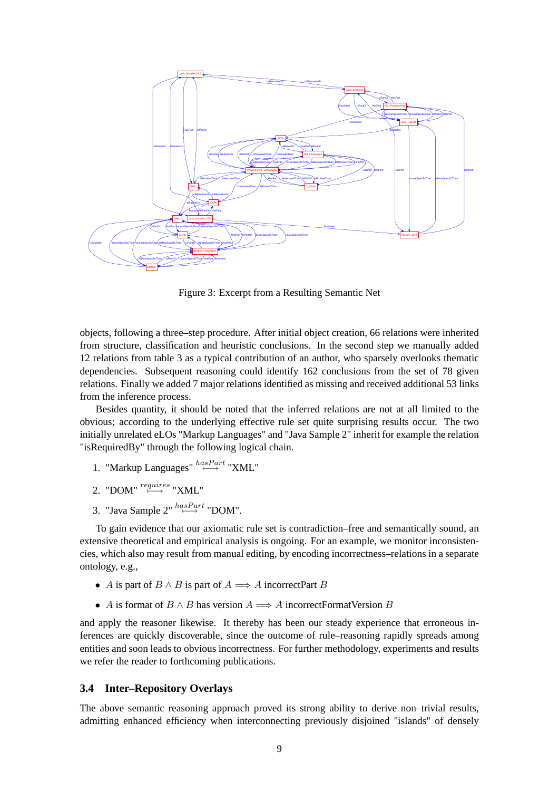

Figure 3: Excerpt from a Resulting Semantic Net

objects, following a three–step procedure. After initial object creation, 66 relations were inherited from structure, classification and heuristic conclusions. In the second step we manually added 12 relations from table 3 as a typical contribution of an author, who sparsely overlooks thematic dependencies. Subsequent reasoning could identify 162 conclusions from the set of 78 given relations. Finally we added 7 major relations identified as missing and received additional 53 links from the inference process.

Besides quantity, it should be noted that the inferred relations are not at all limited to the obvious; according to the underlying effective rule set quite surprising results occur. The two initially unrelated eLOs "Markup Languages" and "Java Sample 2" inherit for example the relation "isRequiredBy" through the following logical chain.

- 1. "Markup Languages"  $\stackrel{hasPart}{\longmapsto}$  "XML"
- 2. "DOM"  $\overset{requires}{\longmapsto}$  "XML"
- 3. "Java Sample 2"  $\stackrel{hasPart}{\longmapsto}$  "DOM".

To gain evidence that our axiomatic rule set is contradiction–free and semantically sound, an extensive theoretical and empirical analysis is ongoing. For an example, we monitor inconsistencies, which also may result from manual editing, by encoding incorrectness–relations in a separate ontology, e.g.,

- A is part of  $B \wedge B$  is part of  $A \Longrightarrow A$  incorrectPart B
- A is format of  $B \wedge B$  has version  $A \Longrightarrow A$  incorrectFormatVersion B

and apply the reasoner likewise. It thereby has been our steady experience that erroneous inferences are quickly discoverable, since the outcome of rule–reasoning rapidly spreads among entities and soon leads to obvious incorrectness. For further methodology, experiments and results we refer the reader to forthcoming publications.

#### **3.4 Inter–Repository Overlays**

The above semantic reasoning approach proved its strong ability to derive non–trivial results, admitting enhanced efficiency when interconnecting previously disjoined "islands" of densely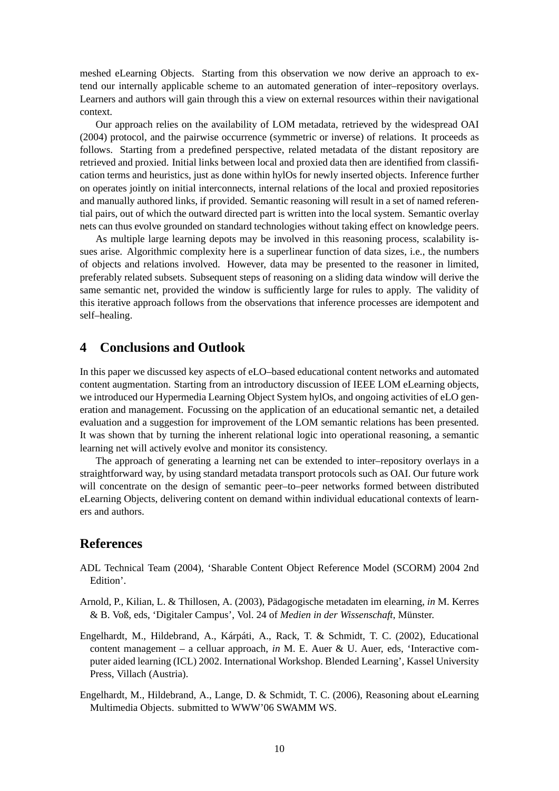meshed eLearning Objects. Starting from this observation we now derive an approach to extend our internally applicable scheme to an automated generation of inter–repository overlays. Learners and authors will gain through this a view on external resources within their navigational context.

Our approach relies on the availability of LOM metadata, retrieved by the widespread OAI (2004) protocol, and the pairwise occurrence (symmetric or inverse) of relations. It proceeds as follows. Starting from a predefined perspective, related metadata of the distant repository are retrieved and proxied. Initial links between local and proxied data then are identified from classification terms and heuristics, just as done within hylOs for newly inserted objects. Inference further on operates jointly on initial interconnects, internal relations of the local and proxied repositories and manually authored links, if provided. Semantic reasoning will result in a set of named referential pairs, out of which the outward directed part is written into the local system. Semantic overlay nets can thus evolve grounded on standard technologies without taking effect on knowledge peers.

As multiple large learning depots may be involved in this reasoning process, scalability issues arise. Algorithmic complexity here is a superlinear function of data sizes, i.e., the numbers of objects and relations involved. However, data may be presented to the reasoner in limited, preferably related subsets. Subsequent steps of reasoning on a sliding data window will derive the same semantic net, provided the window is sufficiently large for rules to apply. The validity of this iterative approach follows from the observations that inference processes are idempotent and self–healing.

## **4 Conclusions and Outlook**

In this paper we discussed key aspects of eLO–based educational content networks and automated content augmentation. Starting from an introductory discussion of IEEE LOM eLearning objects, we introduced our Hypermedia Learning Object System hylOs, and ongoing activities of eLO generation and management. Focussing on the application of an educational semantic net, a detailed evaluation and a suggestion for improvement of the LOM semantic relations has been presented. It was shown that by turning the inherent relational logic into operational reasoning, a semantic learning net will actively evolve and monitor its consistency.

The approach of generating a learning net can be extended to inter–repository overlays in a straightforward way, by using standard metadata transport protocols such as OAI. Our future work will concentrate on the design of semantic peer–to–peer networks formed between distributed eLearning Objects, delivering content on demand within individual educational contexts of learners and authors.

## **References**

- ADL Technical Team (2004), 'Sharable Content Object Reference Model (SCORM) 2004 2nd Edition'.
- Arnold, P., Kilian, L. & Thillosen, A. (2003), Pädagogische metadaten im elearning, *in* M. Kerres & B. Voß, eds, 'Digitaler Campus', Vol. 24 of *Medien in der Wissenschaft*, Münster.
- Engelhardt, M., Hildebrand, A., Kárpáti, A., Rack, T. & Schmidt, T. C. (2002), Educational content management – a celluar approach, *in* M. E. Auer & U. Auer, eds, 'Interactive computer aided learning (ICL) 2002. International Workshop. Blended Learning', Kassel University Press, Villach (Austria).
- Engelhardt, M., Hildebrand, A., Lange, D. & Schmidt, T. C. (2006), Reasoning about eLearning Multimedia Objects. submitted to WWW'06 SWAMM WS.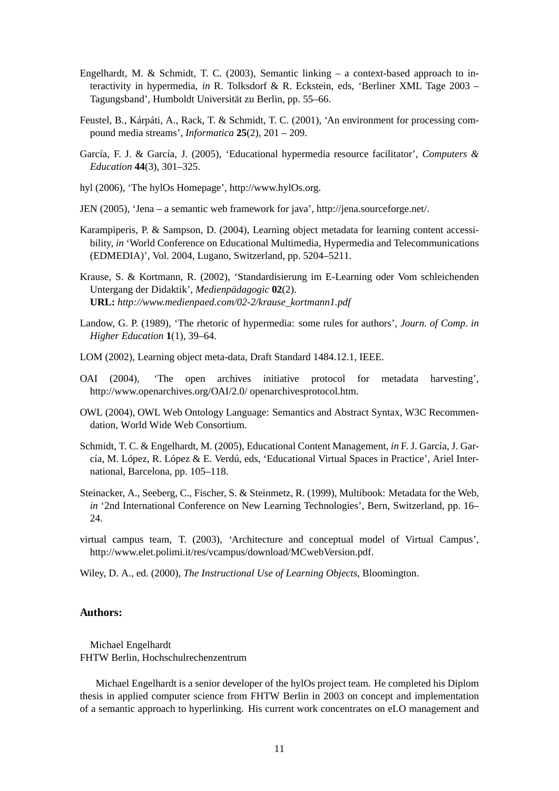- Engelhardt, M. & Schmidt, T. C. (2003), Semantic linking a context-based approach to interactivity in hypermedia, *in* R. Tolksdorf & R. Eckstein, eds, 'Berliner XML Tage 2003 – Tagungsband', Humboldt Universität zu Berlin, pp. 55–66.
- Feustel, B., Kárpáti, A., Rack, T. & Schmidt, T. C. (2001), 'An environment for processing compound media streams', *Informatica* **25**(2), 201 – 209.
- García, F. J. & García, J. (2005), 'Educational hypermedia resource facilitator', *Computers & Education* **44**(3), 301–325.
- hyl (2006), 'The hylOs Homepage', http://www.hylOs.org.
- JEN (2005), 'Jena a semantic web framework for java', http://jena.sourceforge.net/.
- Karampiperis, P. & Sampson, D. (2004), Learning object metadata for learning content accessibility, *in* 'World Conference on Educational Multimedia, Hypermedia and Telecommunications (EDMEDIA)', Vol. 2004, Lugano, Switzerland, pp. 5204–5211.
- Krause, S. & Kortmann, R. (2002), 'Standardisierung im E-Learning oder Vom schleichenden Untergang der Didaktik', *Medienpädagogic* **02**(2). **URL:** *http://www.medienpaed.com/02-2/krause\_kortmann1.pdf*
- Landow, G. P. (1989), 'The rhetoric of hypermedia: some rules for authors', *Journ. of Comp. in Higher Education* **1**(1), 39–64.
- LOM (2002), Learning object meta-data, Draft Standard 1484.12.1, IEEE.
- OAI (2004), 'The open archives initiative protocol for metadata harvesting', http://www.openarchives.org/OAI/2.0/ openarchivesprotocol.htm.
- OWL (2004), OWL Web Ontology Language: Semantics and Abstract Syntax, W3C Recommendation, World Wide Web Consortium.
- Schmidt, T. C. & Engelhardt, M. (2005), Educational Content Management, *in* F. J. García, J. García, M. López, R. López & E. Verdú, eds, 'Educational Virtual Spaces in Practice', Ariel International, Barcelona, pp. 105–118.
- Steinacker, A., Seeberg, C., Fischer, S. & Steinmetz, R. (1999), Multibook: Metadata for the Web, *in* '2nd International Conference on New Learning Technologies', Bern, Switzerland, pp. 16– 24.
- virtual campus team, T. (2003), 'Architecture and conceptual model of Virtual Campus', http://www.elet.polimi.it/res/vcampus/download/MCwebVersion.pdf.
- Wiley, D. A., ed. (2000), *The Instructional Use of Learning Objects*, Bloomington.

#### **Authors:**

Michael Engelhardt FHTW Berlin, Hochschulrechenzentrum

Michael Engelhardt is a senior developer of the hylOs project team. He completed his Diplom thesis in applied computer science from FHTW Berlin in 2003 on concept and implementation of a semantic approach to hyperlinking. His current work concentrates on eLO management and